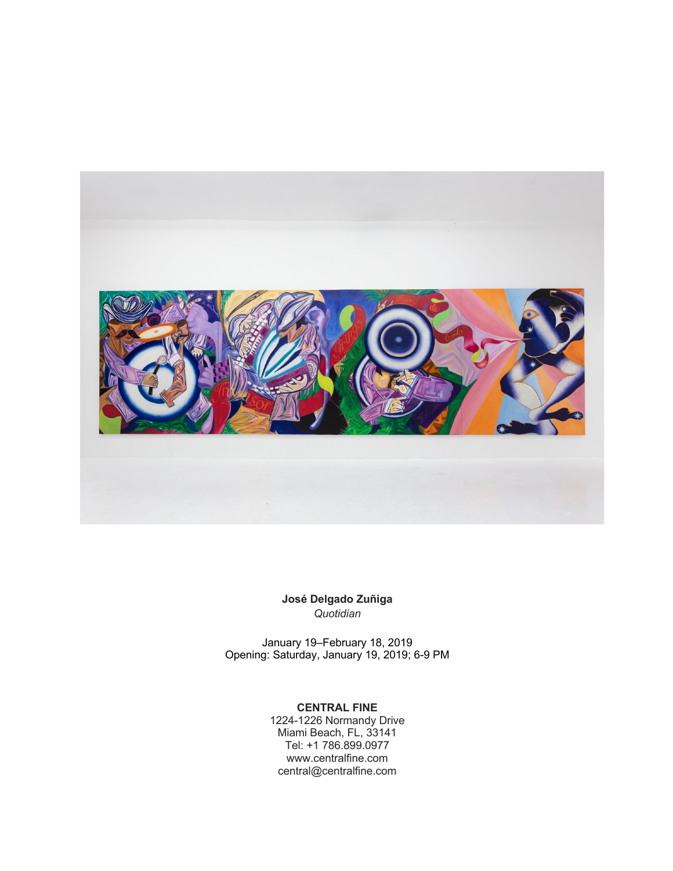

**José Delgado Zuñiga** *Quotidian*

January 19–February 18, 2019 Opening: Saturday, January 19, 2019; 6-9 PM

## **CENTRAL FINE**

1224-1226 Normandy Drive Miami Beach, FL, 33141 Tel: +1 786.899.0977 www.centralfine.com central@centralfine.com